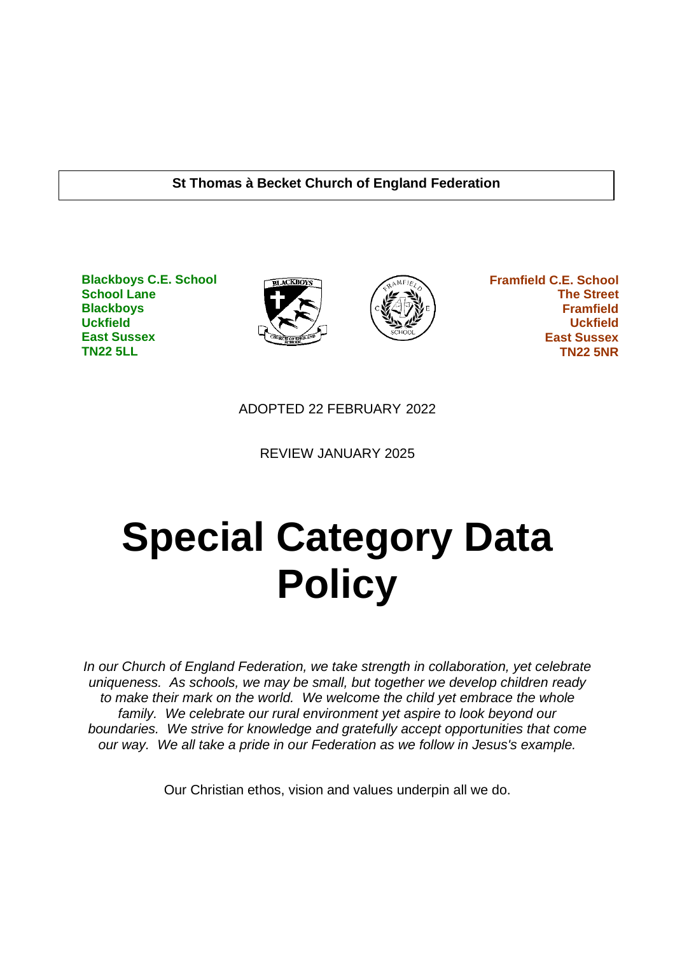#### **St Thomas à Becket Church of England Federation**

**Blackboys C.E. School School Lane Blackboys Uckfield East Sussex TN22 5LL**





 **Framfield C.E. School The Street Framfield Uckfield East Sussex TN22 5NR**

ADOPTED 22 FEBRUARY 2022

REVIEW JANUARY 2025

# **Special Category Data Policy**

*In our Church of England Federation, we take strength in collaboration, yet celebrate uniqueness. As schools, we may be small, but together we develop children ready to make their mark on the world. We welcome the child yet embrace the whole family. We celebrate our rural environment yet aspire to look beyond our boundaries. We strive for knowledge and gratefully accept opportunities that come our way. We all take a pride in our Federation as we follow in Jesus's example.*

Our Christian ethos, vision and values underpin all we do.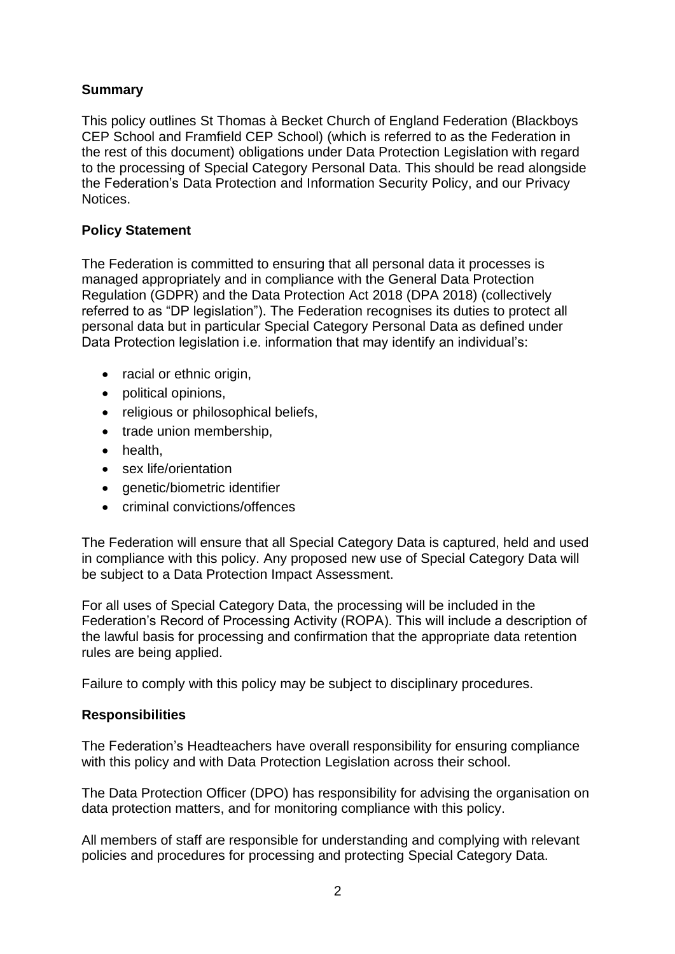#### **Summary**

This policy outlines St Thomas à Becket Church of England Federation (Blackboys CEP School and Framfield CEP School) (which is referred to as the Federation in the rest of this document) obligations under Data Protection Legislation with regard to the processing of Special Category Personal Data. This should be read alongside the Federation's Data Protection and Information Security Policy, and our Privacy Notices.

## **Policy Statement**

The Federation is committed to ensuring that all personal data it processes is managed appropriately and in compliance with the General Data Protection Regulation (GDPR) and the Data Protection Act 2018 (DPA 2018) (collectively referred to as "DP legislation"). The Federation recognises its duties to protect all personal data but in particular Special Category Personal Data as defined under Data Protection legislation i.e. information that may identify an individual's:

- racial or ethnic origin,
- political opinions,
- religious or philosophical beliefs,
- trade union membership,
- health,
- sex life/orientation
- genetic/biometric identifier
- criminal convictions/offences

The Federation will ensure that all Special Category Data is captured, held and used in compliance with this policy. Any proposed new use of Special Category Data will be subject to a Data Protection Impact Assessment.

For all uses of Special Category Data, the processing will be included in the Federation's Record of Processing Activity (ROPA). This will include a description of the lawful basis for processing and confirmation that the appropriate data retention rules are being applied.

Failure to comply with this policy may be subject to disciplinary procedures.

#### **Responsibilities**

The Federation's Headteachers have overall responsibility for ensuring compliance with this policy and with Data Protection Legislation across their school.

The Data Protection Officer (DPO) has responsibility for advising the organisation on data protection matters, and for monitoring compliance with this policy.

All members of staff are responsible for understanding and complying with relevant policies and procedures for processing and protecting Special Category Data.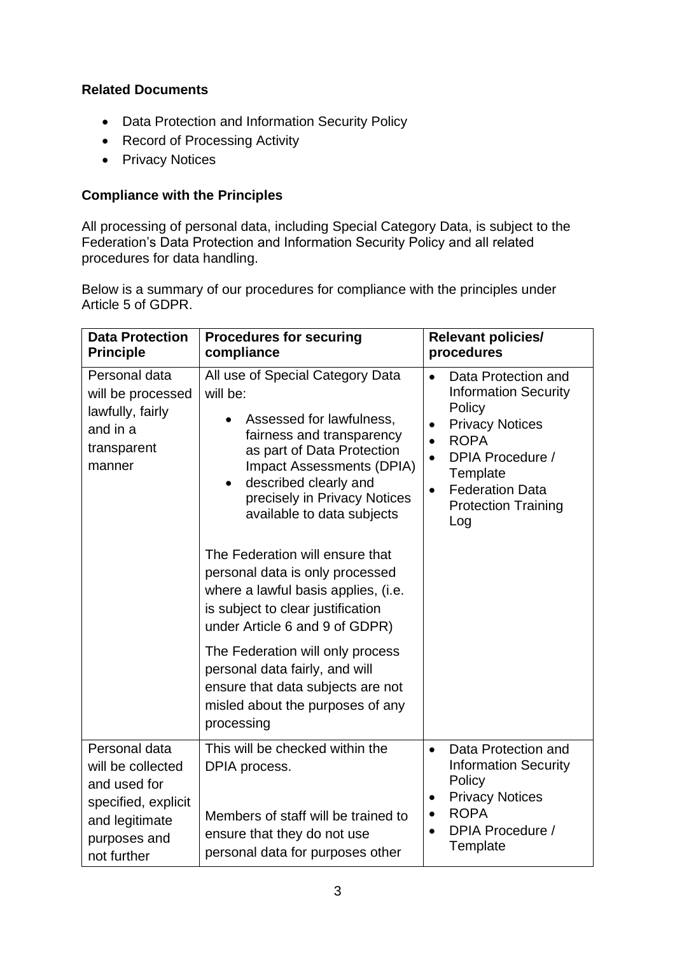## **Related Documents**

- Data Protection and Information Security Policy
- Record of Processing Activity
- Privacy Notices

#### **Compliance with the Principles**

All processing of personal data, including Special Category Data, is subject to the Federation's Data Protection and Information Security Policy and all related procedures for data handling.

Below is a summary of our procedures for compliance with the principles under Article 5 of GDPR.

| <b>Data Protection</b><br><b>Principle</b>                                                                                 | <b>Procedures for securing</b><br>compliance                                                                                                                                                                                                                                                                                                                                                                                                             | <b>Relevant policies/</b><br>procedures                                                                                                                                                                                                                               |
|----------------------------------------------------------------------------------------------------------------------------|----------------------------------------------------------------------------------------------------------------------------------------------------------------------------------------------------------------------------------------------------------------------------------------------------------------------------------------------------------------------------------------------------------------------------------------------------------|-----------------------------------------------------------------------------------------------------------------------------------------------------------------------------------------------------------------------------------------------------------------------|
| Personal data<br>will be processed<br>lawfully, fairly<br>and in a<br>transparent<br>manner                                | All use of Special Category Data<br>will be:<br>Assessed for lawfulness,<br>fairness and transparency<br>as part of Data Protection<br>Impact Assessments (DPIA)<br>described clearly and<br>$\bullet$<br>precisely in Privacy Notices<br>available to data subjects<br>The Federation will ensure that<br>personal data is only processed<br>where a lawful basis applies, (i.e.<br>is subject to clear justification<br>under Article 6 and 9 of GDPR) | Data Protection and<br>$\bullet$<br><b>Information Security</b><br>Policy<br><b>Privacy Notices</b><br>$\bullet$<br><b>ROPA</b><br>$\bullet$<br>DPIA Procedure /<br>$\bullet$<br>Template<br><b>Federation Data</b><br>$\bullet$<br><b>Protection Training</b><br>Log |
|                                                                                                                            | The Federation will only process<br>personal data fairly, and will<br>ensure that data subjects are not<br>misled about the purposes of any<br>processing                                                                                                                                                                                                                                                                                                |                                                                                                                                                                                                                                                                       |
| Personal data<br>will be collected<br>and used for<br>specified, explicit<br>and legitimate<br>purposes and<br>not further | This will be checked within the<br>DPIA process.<br>Members of staff will be trained to<br>ensure that they do not use<br>personal data for purposes other                                                                                                                                                                                                                                                                                               | Data Protection and<br>$\bullet$<br><b>Information Security</b><br>Policy<br><b>Privacy Notices</b><br>$\bullet$<br><b>ROPA</b><br>$\bullet$<br>DPIA Procedure /<br>Template                                                                                          |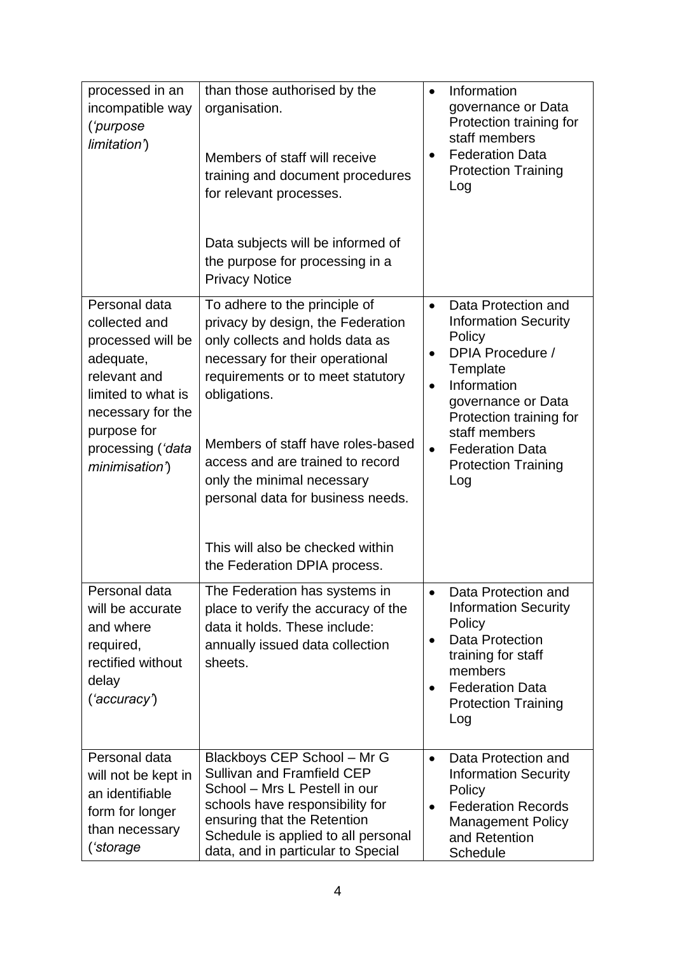| processed in an<br>incompatible way<br>('purpose<br>limitation')                                                                                                                          | than those authorised by the<br>organisation.<br>Members of staff will receive<br>training and document procedures<br>for relevant processes.<br>Data subjects will be informed of<br>the purpose for processing in a<br><b>Privacy Notice</b>                                                                                                                                                                | $\bullet$<br>$\bullet$              | Information<br>governance or Data<br>Protection training for<br>staff members<br><b>Federation Data</b><br><b>Protection Training</b><br>Log                                                                                                 |
|-------------------------------------------------------------------------------------------------------------------------------------------------------------------------------------------|---------------------------------------------------------------------------------------------------------------------------------------------------------------------------------------------------------------------------------------------------------------------------------------------------------------------------------------------------------------------------------------------------------------|-------------------------------------|----------------------------------------------------------------------------------------------------------------------------------------------------------------------------------------------------------------------------------------------|
| Personal data<br>collected and<br>processed will be<br>adequate,<br>relevant and<br>limited to what is<br>necessary for the<br>purpose for<br>processing ( <i>'data</i><br>minimisation') | To adhere to the principle of<br>privacy by design, the Federation<br>only collects and holds data as<br>necessary for their operational<br>requirements or to meet statutory<br>obligations.<br>Members of staff have roles-based<br>access and are trained to record<br>only the minimal necessary<br>personal data for business needs.<br>This will also be checked within<br>the Federation DPIA process. | $\bullet$<br>$\bullet$<br>$\bullet$ | Data Protection and<br><b>Information Security</b><br>Policy<br>DPIA Procedure /<br>Template<br>Information<br>governance or Data<br>Protection training for<br>staff members<br><b>Federation Data</b><br><b>Protection Training</b><br>Log |
| Personal data<br>will be accurate<br>and where<br>required,<br>rectified without<br>delay<br>('accuracy')                                                                                 | The Federation has systems in<br>place to verify the accuracy of the<br>data it holds. These include:<br>annually issued data collection<br>sheets.                                                                                                                                                                                                                                                           | $\bullet$<br>$\bullet$<br>$\bullet$ | Data Protection and<br><b>Information Security</b><br>Policy<br><b>Data Protection</b><br>training for staff<br>members<br><b>Federation Data</b><br><b>Protection Training</b><br>Log                                                       |
| Personal data<br>will not be kept in<br>an identifiable<br>form for longer<br>than necessary<br>('storage                                                                                 | Blackboys CEP School - Mr G<br><b>Sullivan and Framfield CEP</b><br>School - Mrs L Pestell in our<br>schools have responsibility for<br>ensuring that the Retention<br>Schedule is applied to all personal<br>data, and in particular to Special                                                                                                                                                              | $\bullet$<br>$\bullet$              | Data Protection and<br><b>Information Security</b><br>Policy<br><b>Federation Records</b><br><b>Management Policy</b><br>and Retention<br>Schedule                                                                                           |